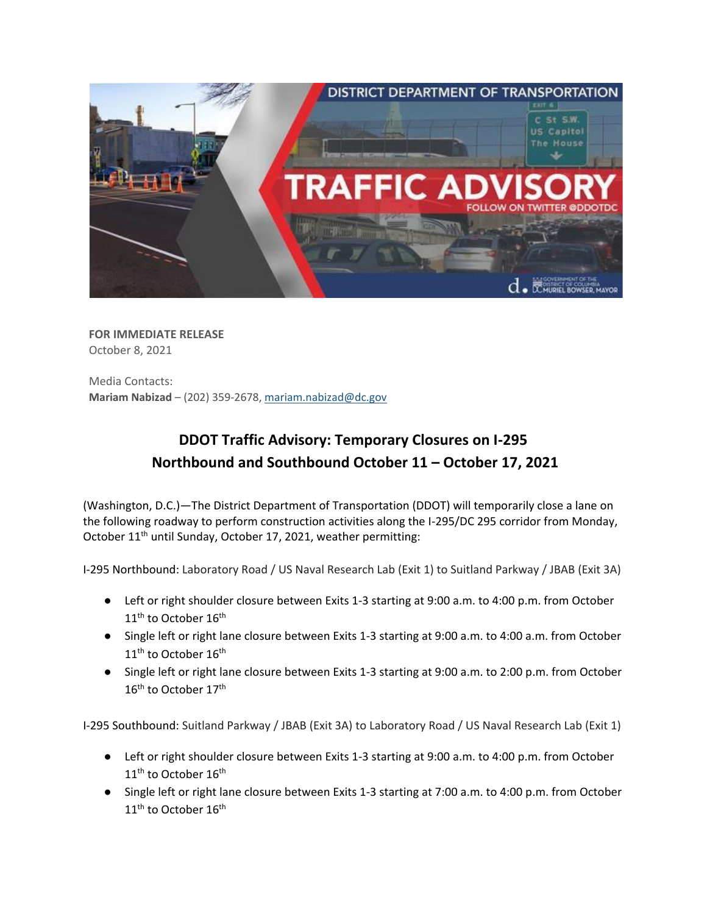

**FOR IMMEDIATE RELEASE** October 8, 2021

Media Contacts: **Mariam Nabizad** – (202) 359-2678, [mariam.nabizad@dc.gov](mailto:mariam.nabizad@dc.gov)

## **DDOT Traffic Advisory: Temporary Closures on I-295 Northbound and Southbound October 11 – October 17, 2021**

(Washington, D.C.)—The District Department of Transportation (DDOT) will temporarily close a lane on the following roadway to perform construction activities along the I-295/DC 295 corridor from Monday, October 11<sup>th</sup> until Sunday, October 17, 2021, weather permitting:

I-295 Northbound: Laboratory Road / US Naval Research Lab (Exit 1) to Suitland Parkway / JBAB (Exit 3A)

- Left or right shoulder closure between Exits 1-3 starting at 9:00 a.m. to 4:00 p.m. from October 11<sup>th</sup> to October 16<sup>th</sup>
- Single left or right lane closure between Exits 1-3 starting at 9:00 a.m. to 4:00 a.m. from October 11<sup>th</sup> to October 16<sup>th</sup>
- Single left or right lane closure between Exits 1-3 starting at 9:00 a.m. to 2:00 p.m. from October 16<sup>th</sup> to October 17<sup>th</sup>

I-295 Southbound: Suitland Parkway / JBAB (Exit 3A) to Laboratory Road / US Naval Research Lab (Exit 1)

- Left or right shoulder closure between Exits 1-3 starting at 9:00 a.m. to 4:00 p.m. from October  $11<sup>th</sup>$  to October  $16<sup>th</sup>$
- Single left or right lane closure between Exits 1-3 starting at 7:00 a.m. to 4:00 p.m. from October 11<sup>th</sup> to October 16<sup>th</sup>